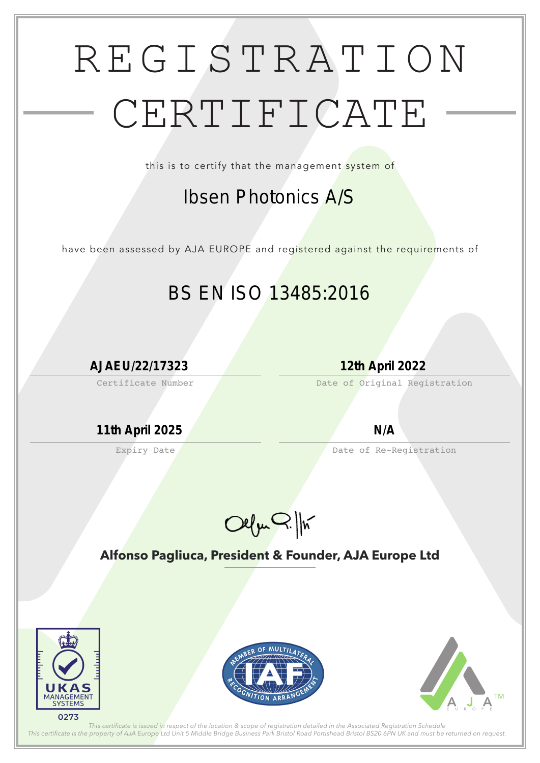## REGISTRATION CERTIFICATE

this is to certify that the management system of

have been assessed by AJA EUROPE and registered against the requirements of

Certificate Number

Expiry Date

Date of Original Registration

Date of Re-Registration

Olfm Q. /h

**Alfonso Pagliuca, President & Founder, AJA Europe Ltd**



*This certifcate is issued in respect of the location & scope of registration detailed in the Associated Registration Schedule This certifcate is the property of AJA Europe Ltd Unit 5 Middle Bridge Business Park Bristol Road Portishead Bristol BS20 6PN UK and must be returned on request.*

## *Ibsen Photonics A/S*

## *BS EN ISO 13485:2016*

*AJAEU/22/17323 12th April 2022*

*11th April 2025 N/A*